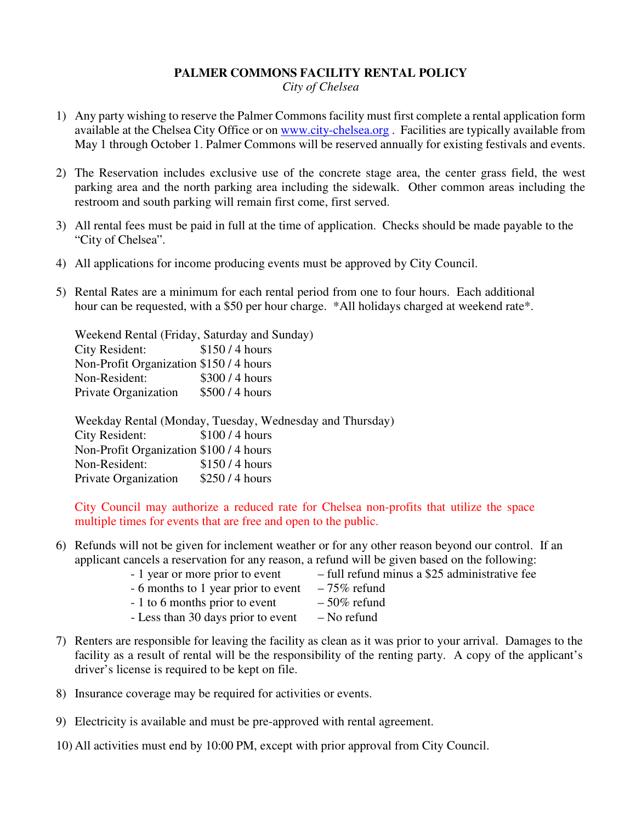## **PALMER COMMONS FACILITY RENTAL POLICY** *City of Chelsea*

- 1) Any party wishing to reserve the Palmer Commons facility must first complete a rental application form available at the Chelsea City Office or on www.city-chelsea.org . Facilities are typically available from May 1 through October 1. Palmer Commons will be reserved annually for existing festivals and events.
- 2) The Reservation includes exclusive use of the concrete stage area, the center grass field, the west parking area and the north parking area including the sidewalk. Other common areas including the restroom and south parking will remain first come, first served.
- 3) All rental fees must be paid in full at the time of application. Checks should be made payable to the "City of Chelsea".
- 4) All applications for income producing events must be approved by City Council.
- 5) Rental Rates are a minimum for each rental period from one to four hours. Each additional hour can be requested, with a \$50 per hour charge. \*All holidays charged at weekend rate\*.

Weekend Rental (Friday, Saturday and Sunday) City Resident: \$150 / 4 hours Non-Profit Organization \$150 / 4 hours Non-Resident: \$300 / 4 hours Private Organization \$500 / 4 hours

Weekday Rental (Monday, Tuesday, Wednesday and Thursday)

City Resident: \$100 / 4 hours Non-Profit Organization \$100 / 4 hours Non-Resident: \$150 / 4 hours Private Organization \$250 / 4 hours

City Council may authorize a reduced rate for Chelsea non-profits that utilize the space multiple times for events that are free and open to the public.

- 6) Refunds will not be given for inclement weather or for any other reason beyond our control. If an applicant cancels a reservation for any reason, a refund will be given based on the following:
	- 1 year or more prior to event full refund minus a \$25 administrative fee
	- $-6$  months to 1 year prior to event  $-75\%$  refund
	- $-1$  to 6 months prior to event  $-50\%$  refund
	- Less than 30 days prior to event No refund
- 7) Renters are responsible for leaving the facility as clean as it was prior to your arrival. Damages to the facility as a result of rental will be the responsibility of the renting party. A copy of the applicant's driver's license is required to be kept on file.
- 8) Insurance coverage may be required for activities or events.
- 9) Electricity is available and must be pre-approved with rental agreement.
- 10) All activities must end by 10:00 PM, except with prior approval from City Council.